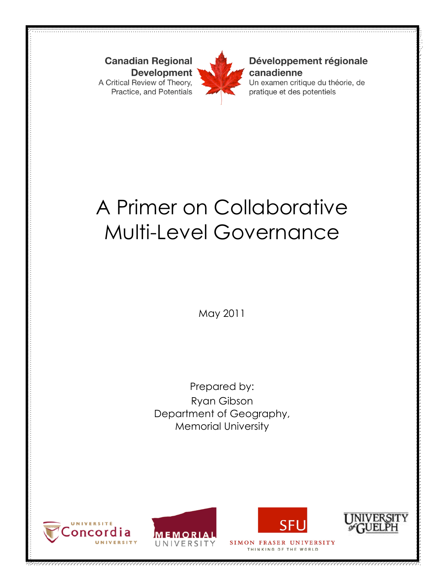**Canadian Regional Development** A Critical Review of Theory, Practice, and Potentials



#### Développement régionale canadienne

Un examen critique du théorie, de pratique et des potentiels

# A Primer on Collaborative Multi-Level Governance

May 2011

Prepared by: Ryan Gibson Department of Geography, Memorial University







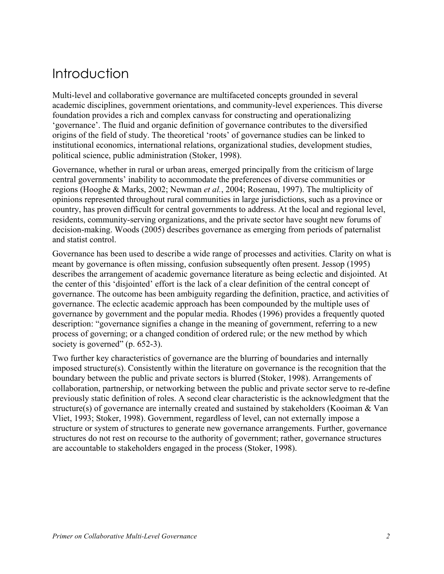## Introduction

Multi-level and collaborative governance are multifaceted concepts grounded in several academic disciplines, government orientations, and community-level experiences. This diverse foundation provides a rich and complex canvass for constructing and operationalizing 'governance'. The fluid and organic definition of governance contributes to the diversified origins of the field of study. The theoretical 'roots' of governance studies can be linked to institutional economics, international relations, organizational studies, development studies, political science, public administration (Stoker, 1998).

Governance, whether in rural or urban areas, emerged principally from the criticism of large central governments' inability to accommodate the preferences of diverse communities or regions (Hooghe & Marks, 2002; Newman *et al.*, 2004; Rosenau, 1997). The multiplicity of opinions represented throughout rural communities in large jurisdictions, such as a province or country, has proven difficult for central governments to address. At the local and regional level, residents, community-serving organizations, and the private sector have sought new forums of decision-making. Woods (2005) describes governance as emerging from periods of paternalist and statist control.

Governance has been used to describe a wide range of processes and activities. Clarity on what is meant by governance is often missing, confusion subsequently often present. Jessop (1995) describes the arrangement of academic governance literature as being eclectic and disjointed. At the center of this 'disjointed' effort is the lack of a clear definition of the central concept of governance. The outcome has been ambiguity regarding the definition, practice, and activities of governance. The eclectic academic approach has been compounded by the multiple uses of governance by government and the popular media. Rhodes (1996) provides a frequently quoted description: "governance signifies a change in the meaning of government, referring to a new process of governing; or a changed condition of ordered rule; or the new method by which society is governed" (p. 652-3).

Two further key characteristics of governance are the blurring of boundaries and internally imposed structure(s). Consistently within the literature on governance is the recognition that the boundary between the public and private sectors is blurred (Stoker, 1998). Arrangements of collaboration, partnership, or networking between the public and private sector serve to re-define previously static definition of roles. A second clear characteristic is the acknowledgment that the structure(s) of governance are internally created and sustained by stakeholders (Kooiman & Van Vliet, 1993; Stoker, 1998). Government, regardless of level, can not externally impose a structure or system of structures to generate new governance arrangements. Further, governance structures do not rest on recourse to the authority of government; rather, governance structures are accountable to stakeholders engaged in the process (Stoker, 1998).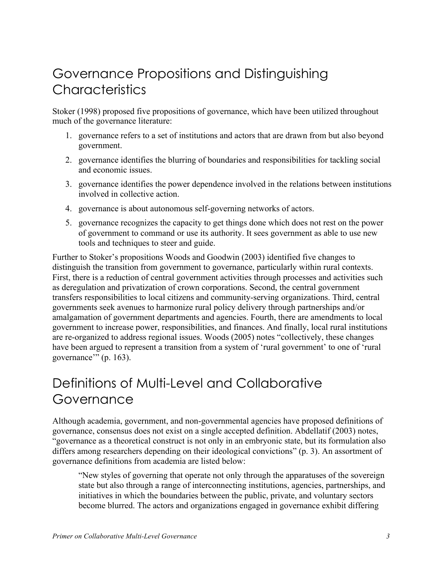### Governance Propositions and Distinguishing **Characteristics**

Stoker (1998) proposed five propositions of governance, which have been utilized throughout much of the governance literature:

- 1. governance refers to a set of institutions and actors that are drawn from but also beyond government.
- 2. governance identifies the blurring of boundaries and responsibilities for tackling social and economic issues.
- 3. governance identifies the power dependence involved in the relations between institutions involved in collective action.
- 4. governance is about autonomous self-governing networks of actors.
- 5. governance recognizes the capacity to get things done which does not rest on the power of government to command or use its authority. It sees government as able to use new tools and techniques to steer and guide.

Further to Stoker's propositions Woods and Goodwin (2003) identified five changes to distinguish the transition from government to governance, particularly within rural contexts. First, there is a reduction of central government activities through processes and activities such as deregulation and privatization of crown corporations. Second, the central government transfers responsibilities to local citizens and community-serving organizations. Third, central governments seek avenues to harmonize rural policy delivery through partnerships and/or amalgamation of government departments and agencies. Fourth, there are amendments to local government to increase power, responsibilities, and finances. And finally, local rural institutions are re-organized to address regional issues. Woods (2005) notes "collectively, these changes have been argued to represent a transition from a system of 'rural government' to one of 'rural governance'" (p. 163).

## Definitions of Multi-Level and Collaborative Governance

Although academia, government, and non-governmental agencies have proposed definitions of governance, consensus does not exist on a single accepted definition. Abdellatif (2003) notes, "governance as a theoretical construct is not only in an embryonic state, but its formulation also differs among researchers depending on their ideological convictions" (p. 3). An assortment of governance definitions from academia are listed below:

"New styles of governing that operate not only through the apparatuses of the sovereign state but also through a range of interconnecting institutions, agencies, partnerships, and initiatives in which the boundaries between the public, private, and voluntary sectors become blurred. The actors and organizations engaged in governance exhibit differing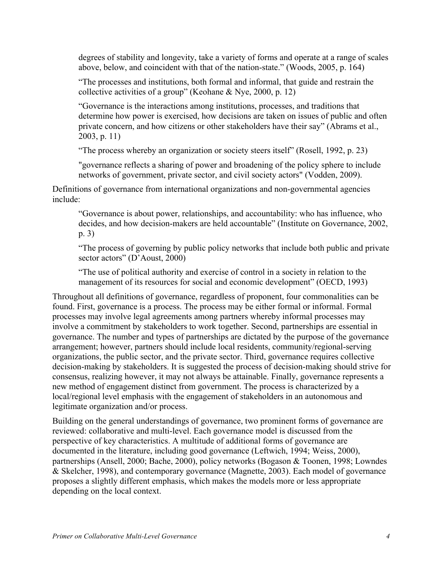degrees of stability and longevity, take a variety of forms and operate at a range of scales above, below, and coincident with that of the nation-state." (Woods, 2005, p. 164)

"The processes and institutions, both formal and informal, that guide and restrain the collective activities of a group" (Keohane & Nye, 2000, p. 12)

"Governance is the interactions among institutions, processes, and traditions that determine how power is exercised, how decisions are taken on issues of public and often private concern, and how citizens or other stakeholders have their say" (Abrams et al., 2003, p. 11)

"The process whereby an organization or society steers itself" (Rosell, 1992, p. 23)

"governance reflects a sharing of power and broadening of the policy sphere to include networks of government, private sector, and civil society actors" (Vodden, 2009).

Definitions of governance from international organizations and non-governmental agencies include:

"Governance is about power, relationships, and accountability: who has influence, who decides, and how decision-makers are held accountable" (Institute on Governance, 2002, p. 3)

"The process of governing by public policy networks that include both public and private sector actors" (D'Aoust, 2000)

"The use of political authority and exercise of control in a society in relation to the management of its resources for social and economic development" (OECD, 1993)

Throughout all definitions of governance, regardless of proponent, four commonalities can be found. First, governance is a process. The process may be either formal or informal. Formal processes may involve legal agreements among partners whereby informal processes may involve a commitment by stakeholders to work together. Second, partnerships are essential in governance. The number and types of partnerships are dictated by the purpose of the governance arrangement; however, partners should include local residents, community/regional-serving organizations, the public sector, and the private sector. Third, governance requires collective decision-making by stakeholders. It is suggested the process of decision-making should strive for consensus, realizing however, it may not always be attainable. Finally, governance represents a new method of engagement distinct from government. The process is characterized by a local/regional level emphasis with the engagement of stakeholders in an autonomous and legitimate organization and/or process.

Building on the general understandings of governance, two prominent forms of governance are reviewed: collaborative and multi-level. Each governance model is discussed from the perspective of key characteristics. A multitude of additional forms of governance are documented in the literature, including good governance (Leftwich, 1994; Weiss, 2000), partnerships (Ansell, 2000; Bache, 2000), policy networks (Bogason & Toonen, 1998; Lowndes & Skelcher, 1998), and contemporary governance (Magnette, 2003). Each model of governance proposes a slightly different emphasis, which makes the models more or less appropriate depending on the local context.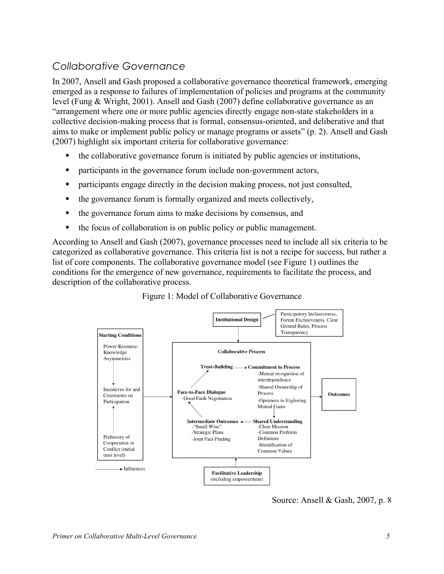#### *Collaborative Governance*

In 2007, Ansell and Gash proposed a collaborative governance theoretical framework, emerging emerged as a response to failures of implementation of policies and programs at the community level (Fung & Wright, 2001). Ansell and Gash (2007) define collaborative governance as an "arrangement where one or more public agencies directly engage non-state stakeholders in a collective decision-making process that is formal, consensus-oriented, and deliberative and that aims to make or implement public policy or manage programs or assets" (p. 2). Ansell and Gash (2007) highlight six important criteria for collaborative governance:

- $\blacksquare$  the collaborative governance forum is initiated by public agencies or institutions,
- participants in the governance forum include non-government actors,
- participants engage directly in the decision making process, not just consulted,
- the governance forum is formally organized and meets collectively,
- the governance forum aims to make decisions by consensus, and
- $\blacksquare$  the focus of collaboration is on public policy or public management.

According to Ansell and Gash (2007), governance processes need to include all six criteria to be categorized as collaborative governance. This criteria list is not a recipe for success, but rather a list of core components. The collaborative governance model (see Figure 1) outlines the conditions for the emergence of new governance, requirements to facilitate the process, and description of the collaborative process.



Figure 1: Model of Collaborative Governance

Source: Ansell & Gash, 2007, p. 8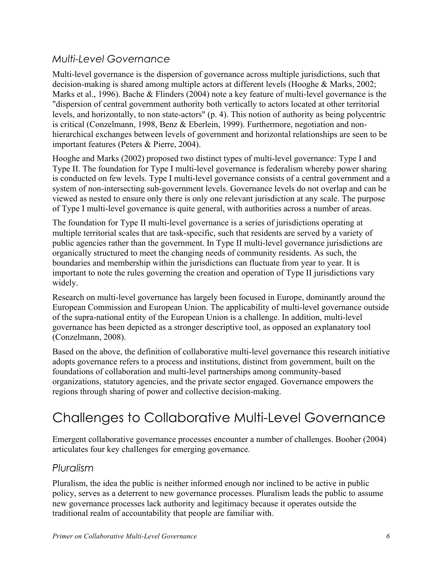#### *Multi-Level Governance*

Multi-level governance is the dispersion of governance across multiple jurisdictions, such that decision-making is shared among multiple actors at different levels (Hooghe & Marks, 2002; Marks et al., 1996). Bache & Flinders (2004) note a key feature of multi-level governance is the "dispersion of central government authority both vertically to actors located at other territorial levels, and horizontally, to non state-actors" (p. 4). This notion of authority as being polycentric is critical (Conzelmann, 1998, Benz & Eberlein, 1999). Furthermore, negotiation and nonhierarchical exchanges between levels of government and horizontal relationships are seen to be important features (Peters & Pierre, 2004).

Hooghe and Marks (2002) proposed two distinct types of multi-level governance: Type I and Type II. The foundation for Type I multi-level governance is federalism whereby power sharing is conducted on few levels. Type I multi-level governance consists of a central government and a system of non-intersecting sub-government levels. Governance levels do not overlap and can be viewed as nested to ensure only there is only one relevant jurisdiction at any scale. The purpose of Type I multi-level governance is quite general, with authorities across a number of areas.

The foundation for Type II multi-level governance is a series of jurisdictions operating at multiple territorial scales that are task-specific, such that residents are served by a variety of public agencies rather than the government. In Type II multi-level governance jurisdictions are organically structured to meet the changing needs of community residents. As such, the boundaries and membership within the jurisdictions can fluctuate from year to year. It is important to note the rules governing the creation and operation of Type II jurisdictions vary widely.

Research on multi-level governance has largely been focused in Europe, dominantly around the European Commission and European Union. The applicability of multi-level governance outside of the supra-national entity of the European Union is a challenge. In addition, multi-level governance has been depicted as a stronger descriptive tool, as opposed an explanatory tool (Conzelmann, 2008).

Based on the above, the definition of collaborative multi-level governance this research initiative adopts governance refers to a process and institutions, distinct from government, built on the foundations of collaboration and multi-level partnerships among community-based organizations, statutory agencies, and the private sector engaged. Governance empowers the regions through sharing of power and collective decision-making.

# Challenges to Collaborative Multi-Level Governance

Emergent collaborative governance processes encounter a number of challenges. Booher (2004) articulates four key challenges for emerging governance.

#### *Pluralism*

Pluralism, the idea the public is neither informed enough nor inclined to be active in public policy, serves as a deterrent to new governance processes. Pluralism leads the public to assume new governance processes lack authority and legitimacy because it operates outside the traditional realm of accountability that people are familiar with.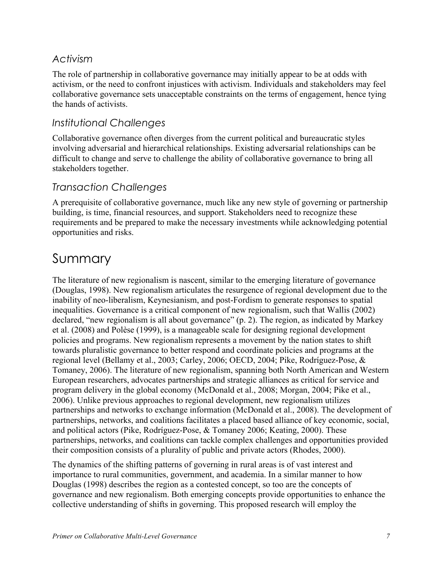#### *Activism*

The role of partnership in collaborative governance may initially appear to be at odds with activism, or the need to confront injustices with activism. Individuals and stakeholders may feel collaborative governance sets unacceptable constraints on the terms of engagement, hence tying the hands of activists.

#### *Institutional Challenges*

Collaborative governance often diverges from the current political and bureaucratic styles involving adversarial and hierarchical relationships. Existing adversarial relationships can be difficult to change and serve to challenge the ability of collaborative governance to bring all stakeholders together.

#### *Transaction Challenges*

A prerequisite of collaborative governance, much like any new style of governing or partnership building, is time, financial resources, and support. Stakeholders need to recognize these requirements and be prepared to make the necessary investments while acknowledging potential opportunities and risks.

### Summary

The literature of new regionalism is nascent, similar to the emerging literature of governance (Douglas, 1998). New regionalism articulates the resurgence of regional development due to the inability of neo-liberalism, Keynesianism, and post-Fordism to generate responses to spatial inequalities. Governance is a critical component of new regionalism, such that Wallis (2002) declared, "new regionalism is all about governance" (p. 2). The region, as indicated by Markey et al. (2008) and Polèse (1999), is a manageable scale for designing regional development policies and programs. New regionalism represents a movement by the nation states to shift towards pluralistic governance to better respond and coordinate policies and programs at the regional level (Bellamy et al., 2003; Carley, 2006; OECD, 2004; Pike, Rodríguez-Pose, & Tomaney, 2006). The literature of new regionalism, spanning both North American and Western European researchers, advocates partnerships and strategic alliances as critical for service and program delivery in the global economy (McDonald et al., 2008; Morgan, 2004; Pike et al., 2006). Unlike previous approaches to regional development, new regionalism utilizes partnerships and networks to exchange information (McDonald et al., 2008). The development of partnerships, networks, and coalitions facilitates a placed based alliance of key economic, social, and political actors (Pike, Rodríguez-Pose, & Tomaney 2006; Keating, 2000). These partnerships, networks, and coalitions can tackle complex challenges and opportunities provided their composition consists of a plurality of public and private actors (Rhodes, 2000).

The dynamics of the shifting patterns of governing in rural areas is of vast interest and importance to rural communities, government, and academia. In a similar manner to how Douglas (1998) describes the region as a contested concept, so too are the concepts of governance and new regionalism. Both emerging concepts provide opportunities to enhance the collective understanding of shifts in governing. This proposed research will employ the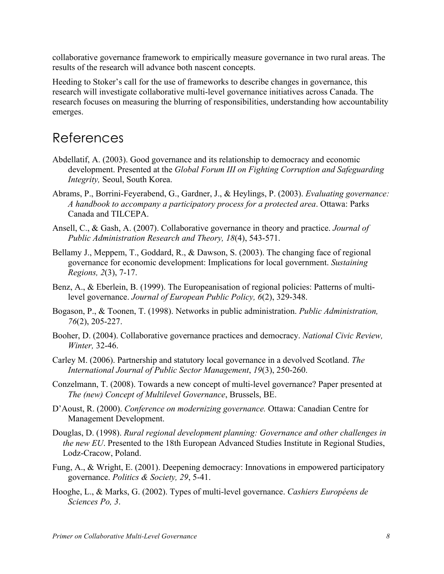collaborative governance framework to empirically measure governance in two rural areas. The results of the research will advance both nascent concepts.

Heeding to Stoker's call for the use of frameworks to describe changes in governance, this research will investigate collaborative multi-level governance initiatives across Canada. The research focuses on measuring the blurring of responsibilities, understanding how accountability emerges.

### References

- Abdellatif, A. (2003). Good governance and its relationship to democracy and economic development. Presented at the *Global Forum III on Fighting Corruption and Safeguarding Integrity,* Seoul, South Korea.
- Abrams, P., Borrini-Feyerabend, G., Gardner, J., & Heylings, P. (2003). *Evaluating governance: A handbook to accompany a participatory process for a protected area*. Ottawa: Parks Canada and TILCEPA.
- Ansell, C., & Gash, A. (2007). Collaborative governance in theory and practice. *Journal of Public Administration Research and Theory, 18*(4), 543-571.
- Bellamy J., Meppem, T., Goddard, R., & Dawson, S. (2003). The changing face of regional governance for economic development: Implications for local government. *Sustaining Regions, 2*(3), 7-17.
- Benz, A., & Eberlein, B. (1999). The Europeanisation of regional policies: Patterns of multilevel governance. *Journal of European Public Policy, 6*(2), 329-348.
- Bogason, P., & Toonen, T. (1998). Networks in public administration. *Public Administration, 76*(2), 205-227.
- Booher, D. (2004). Collaborative governance practices and democracy. *National Civic Review, Winter,* 32-46.
- Carley M. (2006). Partnership and statutory local governance in a devolved Scotland. *The International Journal of Public Sector Management*, *19*(3), 250-260.
- Conzelmann, T. (2008). Towards a new concept of multi-level governance? Paper presented at *The (new) Concept of Multilevel Governance*, Brussels, BE.
- D'Aoust, R. (2000). *Conference on modernizing governance.* Ottawa: Canadian Centre for Management Development.
- Douglas, D. (1998). *Rural regional development planning: Governance and other challenges in the new EU*. Presented to the 18th European Advanced Studies Institute in Regional Studies, Lodz-Cracow, Poland.
- Fung, A., & Wright, E. (2001). Deepening democracy: Innovations in empowered participatory governance. *Politics & Society, 29*, 5-41.
- Hooghe, L., & Marks, G. (2002). Types of multi-level governance. *Cashiers Européens de Sciences Po, 3*.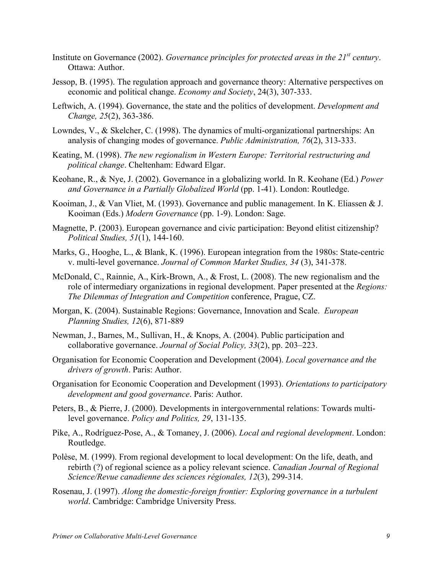- Institute on Governance (2002). *Governance principles for protected areas in the 21st century*. Ottawa: Author.
- Jessop, B. (1995). The regulation approach and governance theory: Alternative perspectives on economic and political change. *Economy and Society*, 24(3), 307-333.
- Leftwich, A. (1994). Governance, the state and the politics of development. *Development and Change, 25*(2), 363-386.
- Lowndes, V., & Skelcher, C. (1998). The dynamics of multi-organizational partnerships: An analysis of changing modes of governance. *Public Administration, 76*(2), 313-333.
- Keating, M. (1998). *The new regionalism in Western Europe: Territorial restructuring and political change*. Cheltenham: Edward Elgar.
- Keohane, R., & Nye, J. (2002). Governance in a globalizing world. In R. Keohane (Ed.) *Power and Governance in a Partially Globalized World* (pp. 1-41). London: Routledge.
- Kooiman, J., & Van Vliet, M. (1993). Governance and public management. In K. Eliassen & J. Kooiman (Eds.) *Modern Governance* (pp. 1-9). London: Sage.
- Magnette, P. (2003). European governance and civic participation: Beyond elitist citizenship? *Political Studies, 51*(1), 144-160.
- Marks, G., Hooghe, L., & Blank, K. (1996). European integration from the 1980s: State-centric v. multi-level governance. *Journal of Common Market Studies, 34* (3), 341-378.
- McDonald, C., Rainnie, A., Kirk-Brown, A., & Frost, L. (2008). The new regionalism and the role of intermediary organizations in regional development. Paper presented at the *Regions: The Dilemmas of Integration and Competition* conference, Prague, CZ.
- Morgan, K. (2004). Sustainable Regions: Governance, Innovation and Scale. *European Planning Studies, 12*(6), 871-889
- Newman, J., Barnes, M., Sullivan, H., & Knops, A. (2004). Public participation and collaborative governance. *Journal of Social Policy, 33*(2), pp. 203–223.
- Organisation for Economic Cooperation and Development (2004). *Local governance and the drivers of growth*. Paris: Author.
- Organisation for Economic Cooperation and Development (1993). *Orientations to participatory development and good governance*. Paris: Author.
- Peters, B., & Pierre, J. (2000). Developments in intergovernmental relations: Towards multilevel governance. *Policy and Politics, 29*, 131-135.
- Pike, A., Rodríguez-Pose, A., & Tomaney, J. (2006). *Local and regional development*. London: Routledge.
- Polèse, M. (1999). From regional development to local development: On the life, death, and rebirth (?) of regional science as a policy relevant science. *Canadian Journal of Regional Science/Revue canadienne des sciences régionales, 12*(3), 299-314.
- Rosenau, J. (1997). *Along the domestic-foreign frontier: Exploring governance in a turbulent world*. Cambridge: Cambridge University Press.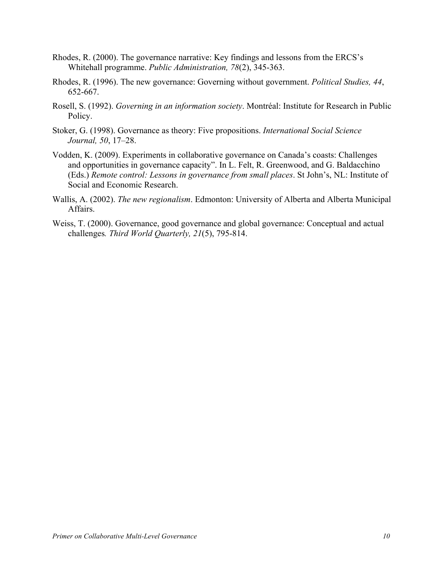- Rhodes, R. (2000). The governance narrative: Key findings and lessons from the ERCS's Whitehall programme. *Public Administration, 78*(2), 345-363.
- Rhodes, R. (1996). The new governance: Governing without government. *Political Studies, 44*, 652-667.
- Rosell, S. (1992). *Governing in an information society*. Montréal: Institute for Research in Public Policy.
- Stoker, G. (1998). Governance as theory: Five propositions. *International Social Science Journal, 50*, 17–28.
- Vodden, K. (2009). Experiments in collaborative governance on Canada's coasts: Challenges and opportunities in governance capacity". In L. Felt, R. Greenwood, and G. Baldacchino (Eds.) *Remote control: Lessons in governance from small places*. St John's, NL: Institute of Social and Economic Research.
- Wallis, A. (2002). *The new regionalism*. Edmonton: University of Alberta and Alberta Municipal **Affairs**
- Weiss, T. (2000). Governance, good governance and global governance: Conceptual and actual challenges*. Third World Quarterly, 21*(5), 795-814.